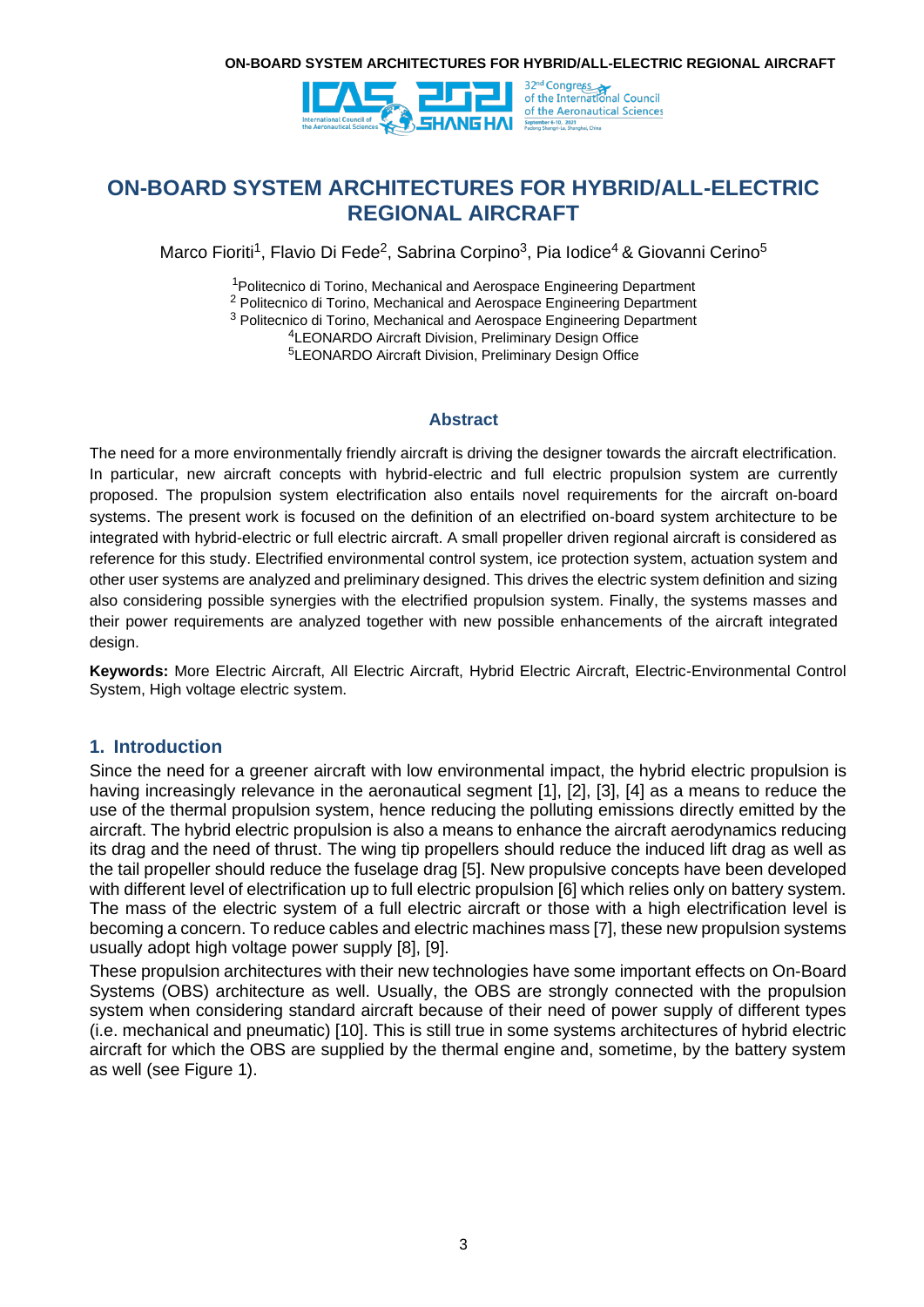

**ON-BOARD SYSTEM ARCHITECTURES FOR HYBRID/ALL-ELECTRIC REGIONAL AIRCRAFT**

Marco Fioriti<sup>1</sup>, Flavio Di Fede<sup>2</sup>, Sabrina Corpino<sup>3</sup>, Pia Iodice<sup>4</sup> & Giovanni Cerino<sup>5</sup>

<sup>1</sup>Politecnico di Torino, Mechanical and Aerospace Engineering Department

<sup>2</sup> Politecnico di Torino, Mechanical and Aerospace Engineering Department

<sup>3</sup> Politecnico di Torino, Mechanical and Aerospace Engineering Department

<sup>4</sup>LEONARDO Aircraft Division, Preliminary Design Office

<sup>5</sup>LEONARDO Aircraft Division, Preliminary Design Office

### **Abstract**

The need for a more environmentally friendly aircraft is driving the designer towards the aircraft electrification. In particular, new aircraft concepts with hybrid-electric and full electric propulsion system are currently proposed. The propulsion system electrification also entails novel requirements for the aircraft on-board systems. The present work is focused on the definition of an electrified on-board system architecture to be integrated with hybrid-electric or full electric aircraft. A small propeller driven regional aircraft is considered as reference for this study. Electrified environmental control system, ice protection system, actuation system and other user systems are analyzed and preliminary designed. This drives the electric system definition and sizing also considering possible synergies with the electrified propulsion system. Finally, the systems masses and their power requirements are analyzed together with new possible enhancements of the aircraft integrated design.

**Keywords:** More Electric Aircraft, All Electric Aircraft, Hybrid Electric Aircraft, Electric-Environmental Control System, High voltage electric system.

## <span id="page-0-0"></span>**1. Introduction**

Since the need for a greener aircraft with low environmental impact, the hybrid electric propulsion is having increasingly relevance in the aeronautical segment [1], [2], [3], [4] as a means to reduce the use of the thermal propulsion system, hence reducing the polluting emissions directly emitted by the aircraft. The hybrid electric propulsion is also a means to enhance the aircraft aerodynamics reducing its drag and the need of thrust. The wing tip propellers should reduce the induced lift drag as well as the tail propeller should reduce the fuselage drag [5]. New propulsive concepts have been developed with different level of electrification up to full electric propulsion [6] which relies only on battery system. The mass of the electric system of a full electric aircraft or those with a high electrification level is becoming a concern. To reduce cables and electric machines mass [7], these new propulsion systems usually adopt high voltage power supply [8], [9].

These propulsion architectures with their new technologies have some important effects on On-Board Systems (OBS) architecture as well. Usually, the OBS are strongly connected with the propulsion system when considering standard aircraft because of their need of power supply of different types (i.e. mechanical and pneumatic) [10]. This is still true in some systems architectures of hybrid electric aircraft for which the OBS are supplied by the thermal engine and, sometime, by the battery system as well (see [Figure 1](#page-1-0)).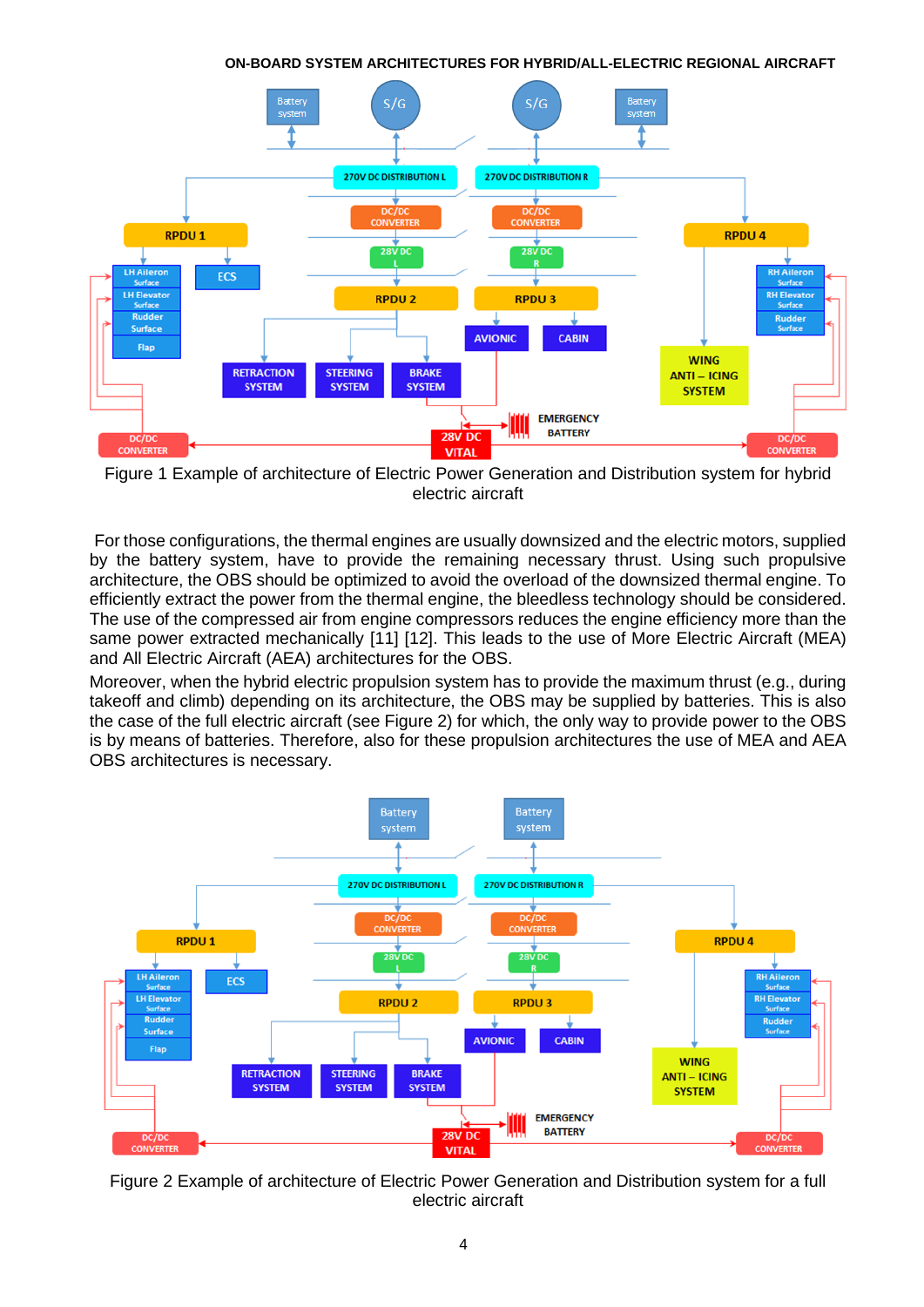**ON-BOARD SYSTEM ARCHITECTURES FOR HYBRID/ALL-ELECTRIC REGIONAL AIRCRAFT**



<span id="page-1-0"></span>Figure 1 Example of architecture of Electric Power Generation and Distribution system for hybrid electric aircraft

For those configurations, the thermal engines are usually downsized and the electric motors, supplied by the battery system, have to provide the remaining necessary thrust. Using such propulsive architecture, the OBS should be optimized to avoid the overload of the downsized thermal engine. To efficiently extract the power from the thermal engine, the bleedless technology should be considered. The use of the compressed air from engine compressors reduces the engine efficiency more than the same power extracted mechanically [11] [12]. This leads to the use of More Electric Aircraft (MEA) and All Electric Aircraft (AEA) architectures for the OBS.

Moreover, when the hybrid electric propulsion system has to provide the maximum thrust (e.g., during takeoff and climb) depending on its architecture, the OBS may be supplied by batteries. This is also the case of the full electric aircraft (see [Figure 2\)](#page-1-1) for which, the only way to provide power to the OBS is by means of batteries. Therefore, also for these propulsion architectures the use of MEA and AEA OBS architectures is necessary.



<span id="page-1-1"></span>Figure 2 Example of architecture of Electric Power Generation and Distribution system for a full electric aircraft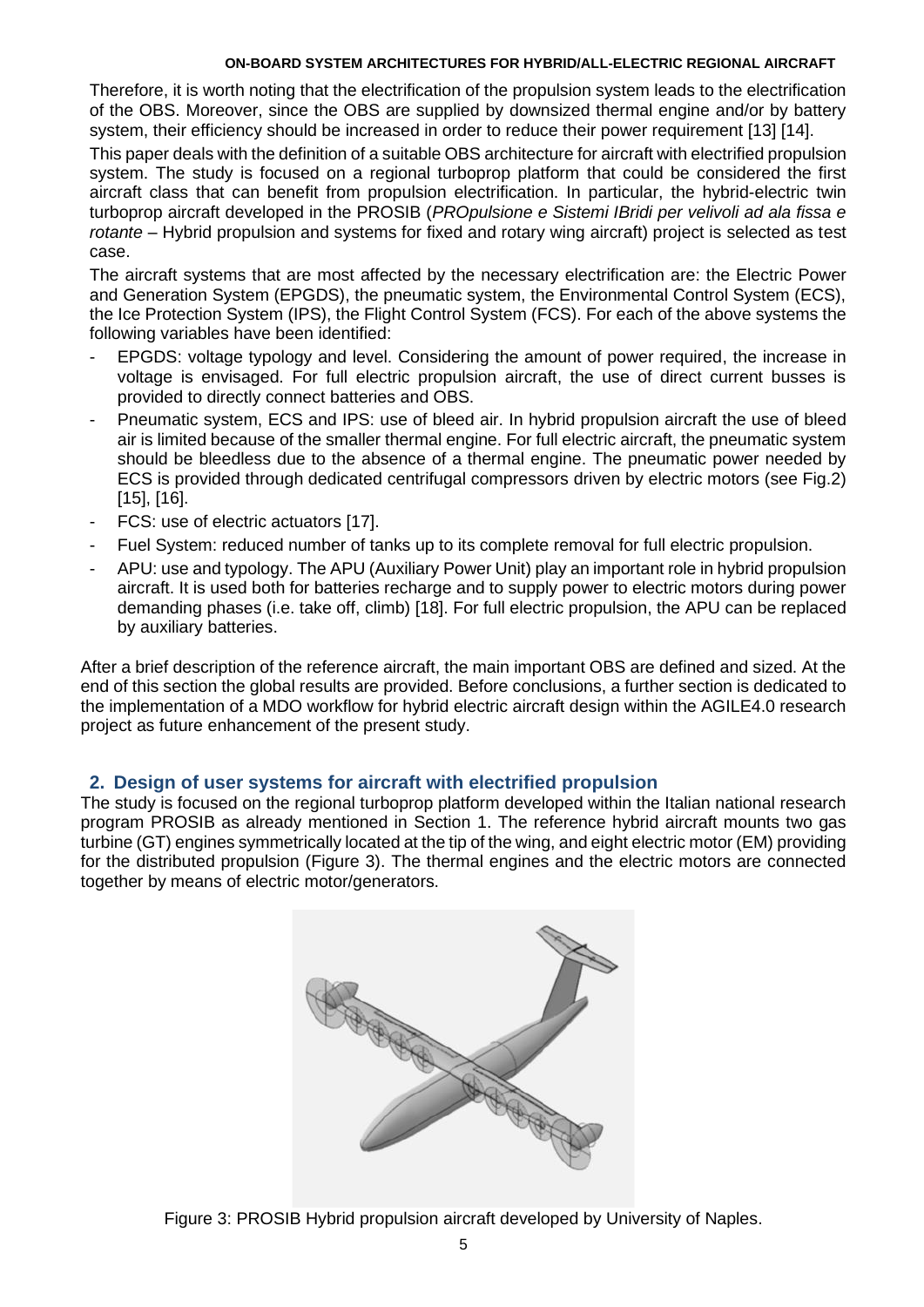Therefore, it is worth noting that the electrification of the propulsion system leads to the electrification of the OBS. Moreover, since the OBS are supplied by downsized thermal engine and/or by battery system, their efficiency should be increased in order to reduce their power requirement [13] [14].

This paper deals with the definition of a suitable OBS architecture for aircraft with electrified propulsion system. The study is focused on a regional turboprop platform that could be considered the first aircraft class that can benefit from propulsion electrification. In particular, the hybrid-electric twin turboprop aircraft developed in the PROSIB (*PROpulsione e Sistemi IBridi per velivoli ad ala fissa e rotante* – Hybrid propulsion and systems for fixed and rotary wing aircraft) project is selected as test case.

The aircraft systems that are most affected by the necessary electrification are: the Electric Power and Generation System (EPGDS), the pneumatic system, the Environmental Control System (ECS), the Ice Protection System (IPS), the Flight Control System (FCS). For each of the above systems the following variables have been identified:

- EPGDS: voltage typology and level. Considering the amount of power required, the increase in voltage is envisaged. For full electric propulsion aircraft, the use of direct current busses is provided to directly connect batteries and OBS.
- Pneumatic system, ECS and IPS: use of bleed air. In hybrid propulsion aircraft the use of bleed air is limited because of the smaller thermal engine. For full electric aircraft, the pneumatic system should be bleedless due to the absence of a thermal engine. The pneumatic power needed by ECS is provided through dedicated centrifugal compressors driven by electric motors (see Fig.2) [15], [16].
- FCS: use of electric actuators [17].
- Fuel System: reduced number of tanks up to its complete removal for full electric propulsion.
- APU: use and typology. The APU (Auxiliary Power Unit) play an important role in hybrid propulsion aircraft. It is used both for batteries recharge and to supply power to electric motors during power demanding phases (i.e. take off, climb) [18]. For full electric propulsion, the APU can be replaced by auxiliary batteries.

After a brief description of the reference aircraft, the main important OBS are defined and sized. At the end of this section the global results are provided. Before conclusions, a further section is dedicated to the implementation of a MDO workflow for hybrid electric aircraft design within the AGILE4.0 research project as future enhancement of the present study.

## **2. Design of user systems for aircraft with electrified propulsion**

The study is focused on the regional turboprop platform developed within the Italian national research program PROSIB as already mentioned in Section [1.](#page-0-0) The reference hybrid aircraft mounts two gas turbine (GT) engines symmetrically located at the tip of the wing, and eight electric motor (EM) providing for the distributed propulsion [\(Figure 3\)](#page-2-0). The thermal engines and the electric motors are connected together by means of electric motor/generators.

<span id="page-2-0"></span>

Figure 3: PROSIB Hybrid propulsion aircraft developed by University of Naples.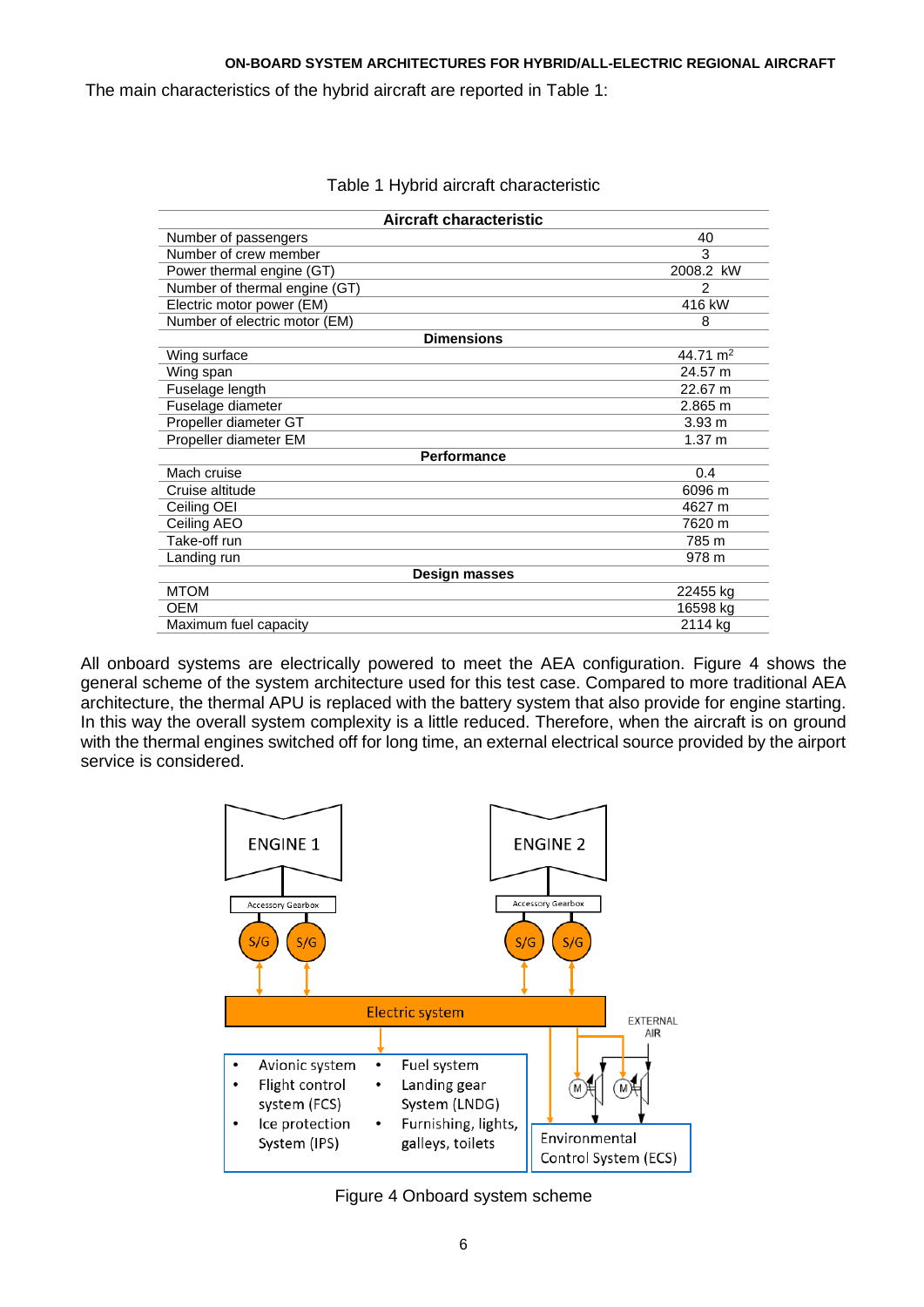The main characteristics of the hybrid aircraft are reported in [Table 1:](#page-3-0)

<span id="page-3-0"></span>

| Aircraft characteristic       |                   |  |  |
|-------------------------------|-------------------|--|--|
| Number of passengers          | 40                |  |  |
| Number of crew member         | 3                 |  |  |
| Power thermal engine (GT)     | 2008.2 kW         |  |  |
| Number of thermal engine (GT) | 2                 |  |  |
| Electric motor power (EM)     | 416 kW            |  |  |
| Number of electric motor (EM) | 8                 |  |  |
| <b>Dimensions</b>             |                   |  |  |
| Wing surface                  | 44.71 $m2$        |  |  |
| Wing span                     | 24.57 m           |  |  |
| Fuselage length               | 22.67 m           |  |  |
| Fuselage diameter             | 2.865 m           |  |  |
| Propeller diameter GT         | 3.93 <sub>m</sub> |  |  |
| Propeller diameter EM         | 1.37 m            |  |  |
| <b>Performance</b>            |                   |  |  |
| Mach cruise                   | 0.4               |  |  |
| Cruise altitude               | 6096 m            |  |  |
| Ceiling OEI                   | 4627 m            |  |  |
| Ceiling AEO                   | 7620 m            |  |  |
| Take-off run                  | 785 m             |  |  |
| Landing run                   | 978 m             |  |  |
| <b>Design masses</b>          |                   |  |  |
| <b>MTOM</b>                   | 22455 kg          |  |  |
| <b>OEM</b>                    | 16598 kg          |  |  |
| Maximum fuel capacity         | 2114 kg           |  |  |

Table 1 Hybrid aircraft characteristic

All onboard systems are electrically powered to meet the AEA configuration. [Figure 4](#page-3-1) shows the general scheme of the system architecture used for this test case. Compared to more traditional AEA architecture, the thermal APU is replaced with the battery system that also provide for engine starting. In this way the overall system complexity is a little reduced. Therefore, when the aircraft is on ground with the thermal engines switched off for long time, an external electrical source provided by the airport service is considered.



<span id="page-3-1"></span>Figure 4 Onboard system scheme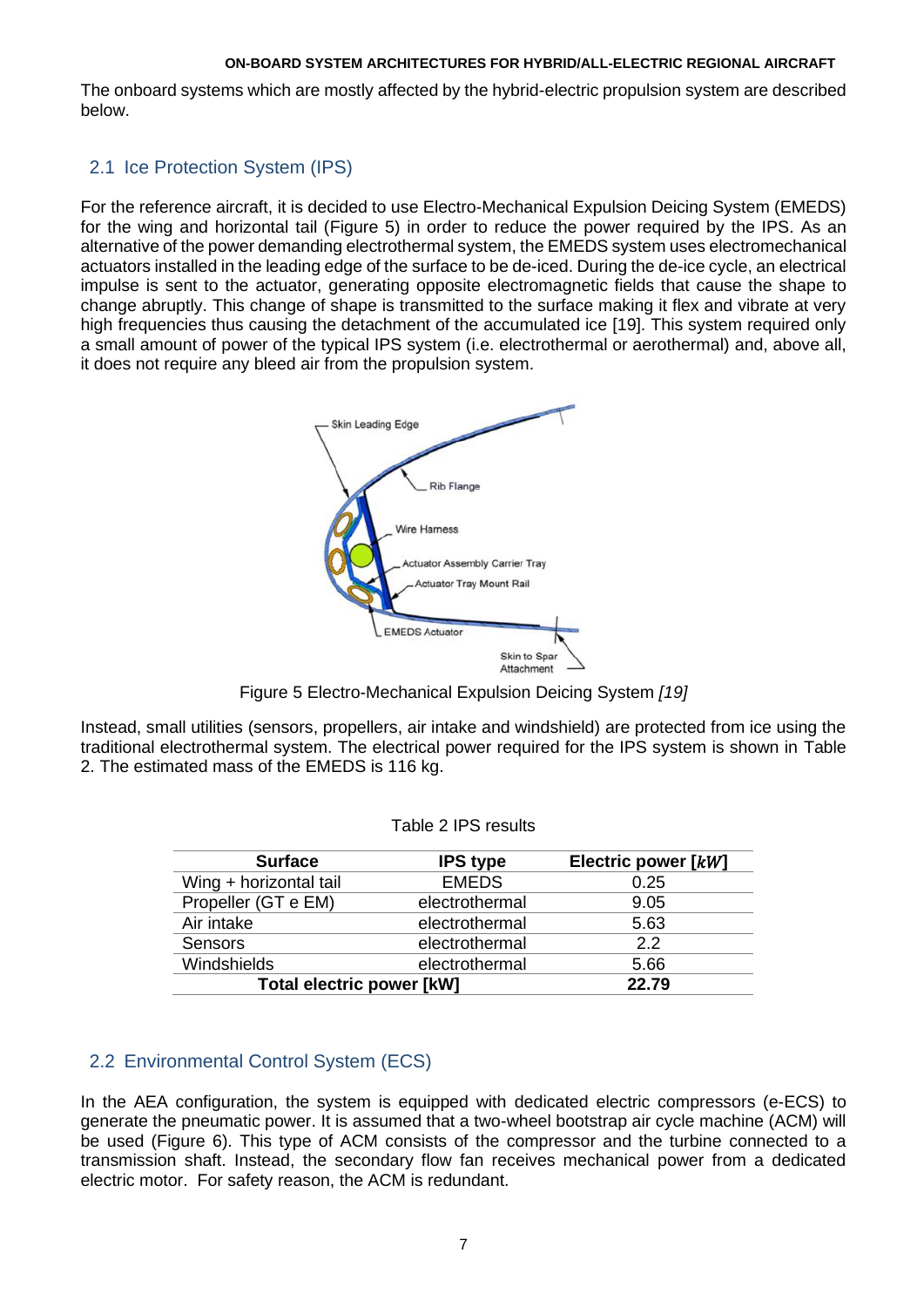The onboard systems which are mostly affected by the hybrid-electric propulsion system are described below.

## 2.1 Ice Protection System (IPS)

For the reference aircraft, it is decided to use Electro-Mechanical Expulsion Deicing System (EMEDS) for the wing and horizontal tail [\(Figure 5\)](#page-4-0) in order to reduce the power required by the IPS. As an alternative of the power demanding electrothermal system, the EMEDS system uses electromechanical actuators installed in the leading edge of the surface to be de-iced. During the de-ice cycle, an electrical impulse is sent to the actuator, generating opposite electromagnetic fields that cause the shape to change abruptly. This change of shape is transmitted to the surface making it flex and vibrate at very high frequencies thus causing the detachment of the accumulated ice [19]. This system required only a small amount of power of the typical IPS system (i.e. electrothermal or aerothermal) and, above all, it does not require any bleed air from the propulsion system.



Figure 5 Electro-Mechanical Expulsion Deicing System *[19]*

<span id="page-4-1"></span><span id="page-4-0"></span>Instead, small utilities (sensors, propellers, air intake and windshield) are protected from ice using the traditional electrothermal system. The electrical power required for the IPS system is shown in [Table](#page-4-1)  [2.](#page-4-1) The estimated mass of the EMEDS is 116 kg.

| <b>Surface</b>                   | <b>IPS type</b> | Electric power [kW] |
|----------------------------------|-----------------|---------------------|
| Wing + horizontal tail           | <b>EMEDS</b>    | 0.25                |
| Propeller (GT e EM)              | electrothermal  | 9.05                |
| Air intake                       | electrothermal  | 5.63                |
| Sensors                          | electrothermal  | 2.2                 |
| Windshields                      | electrothermal  | 5.66                |
| <b>Total electric power [kW]</b> |                 | 22.79               |

| Table 2 IPS results |  |
|---------------------|--|
|---------------------|--|

# 2.2 Environmental Control System (ECS)

In the AEA configuration, the system is equipped with dedicated electric compressors (e-ECS) to generate the pneumatic power. It is assumed that a two-wheel bootstrap air cycle machine (ACM) will be used [\(Figure 6\)](#page-5-0). This type of ACM consists of the compressor and the turbine connected to a transmission shaft. Instead, the secondary flow fan receives mechanical power from a dedicated electric motor. For safety reason, the ACM is redundant.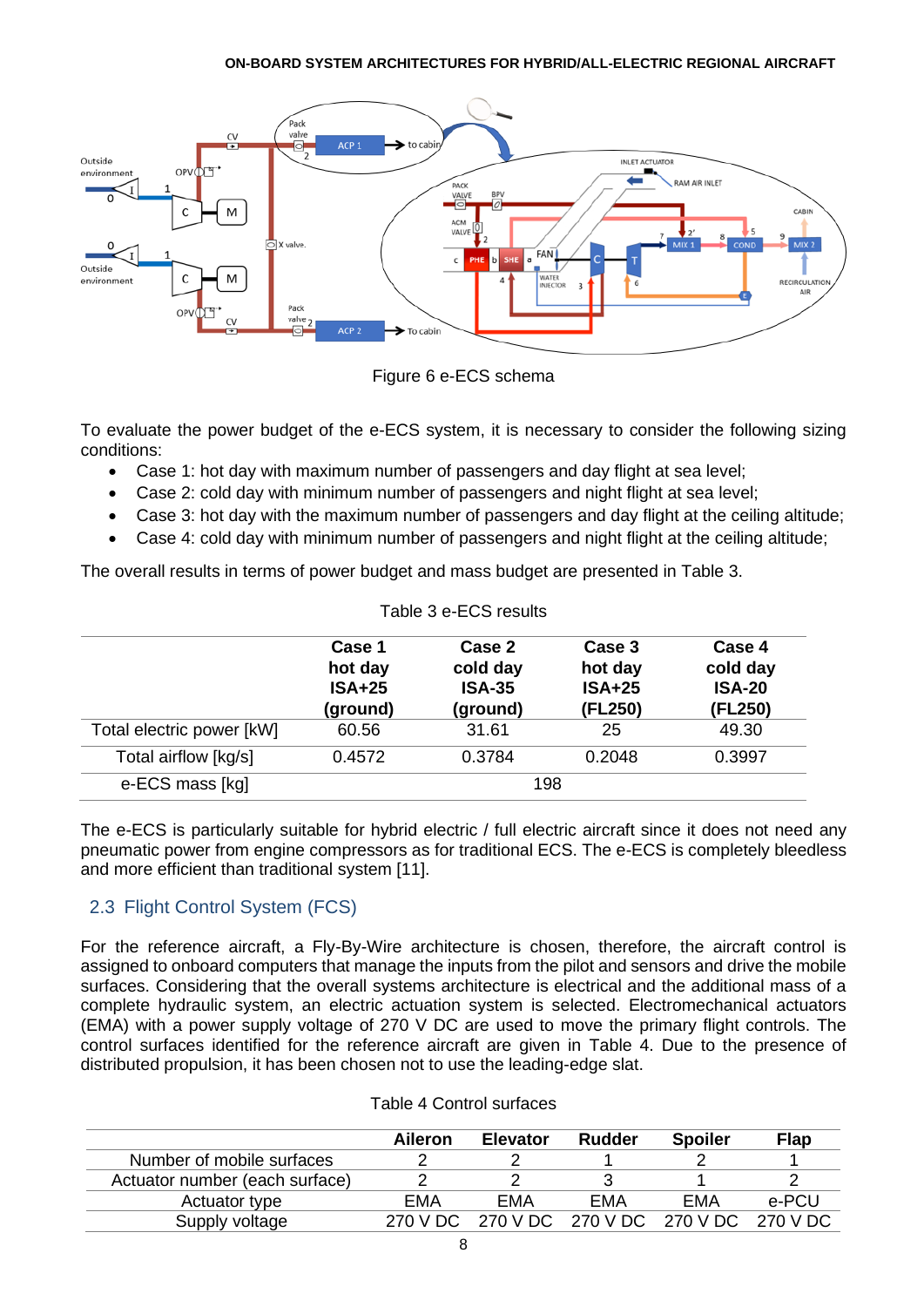



<span id="page-5-0"></span>To evaluate the power budget of the e-ECS system, it is necessary to consider the following sizing conditions:

- Case 1: hot day with maximum number of passengers and day flight at sea level;
- Case 2: cold day with minimum number of passengers and night flight at sea level;
- Case 3: hot day with the maximum number of passengers and day flight at the ceiling altitude;
- Case 4: cold day with minimum number of passengers and night flight at the ceiling altitude;

The overall results in terms of power budget and mass budget are presented in [Table 3.](#page-5-1)

<span id="page-5-1"></span>

| Table 3 e-ECS results     |                                           |                                                 |                                          |                                                |
|---------------------------|-------------------------------------------|-------------------------------------------------|------------------------------------------|------------------------------------------------|
|                           | Case 1<br>hot day<br>$ISA+25$<br>(ground) | Case 2<br>cold day<br><b>ISA-35</b><br>(ground) | Case 3<br>hot day<br>$ISA+25$<br>(FL250) | Case 4<br>cold day<br><b>ISA-20</b><br>(FL250) |
| Total electric power [kW] | 60.56                                     | 31.61                                           | 25                                       | 49.30                                          |
| Total airflow [kg/s]      | 0.4572                                    | 0.3784                                          | 0.2048                                   | 0.3997                                         |
| e-ECS mass [kg]           |                                           | 198                                             |                                          |                                                |

The e-ECS is particularly suitable for hybrid electric / full electric aircraft since it does not need any pneumatic power from engine compressors as for traditional ECS. The e-ECS is completely bleedless and more efficient than traditional system [11].

# 2.3 Flight Control System (FCS)

For the reference aircraft, a Fly-By-Wire architecture is chosen, therefore, the aircraft control is assigned to onboard computers that manage the inputs from the pilot and sensors and drive the mobile surfaces. Considering that the overall systems architecture is electrical and the additional mass of a complete hydraulic system, an electric actuation system is selected. Electromechanical actuators (EMA) with a power supply voltage of 270 V DC are used to move the primary flight controls. The control surfaces identified for the reference aircraft are given in [Table 4.](#page-5-2) Due to the presence of distributed propulsion, it has been chosen not to use the leading-edge slat.

<span id="page-5-2"></span>

|                                | Aileron | <b>Elevator</b>                              | Rudder | <b>Spoiler</b> | <b>Flap</b> |
|--------------------------------|---------|----------------------------------------------|--------|----------------|-------------|
| Number of mobile surfaces      |         |                                              |        |                |             |
| Actuator number (each surface) |         |                                              |        |                |             |
| Actuator type                  | FMA     | EMA                                          | EMA    | EMA            | e-PCU       |
| Supply voltage                 |         | 270 V DC 270 V DC 270 V DC 270 V DC 270 V DC |        |                |             |

#### Table 4 Control surfaces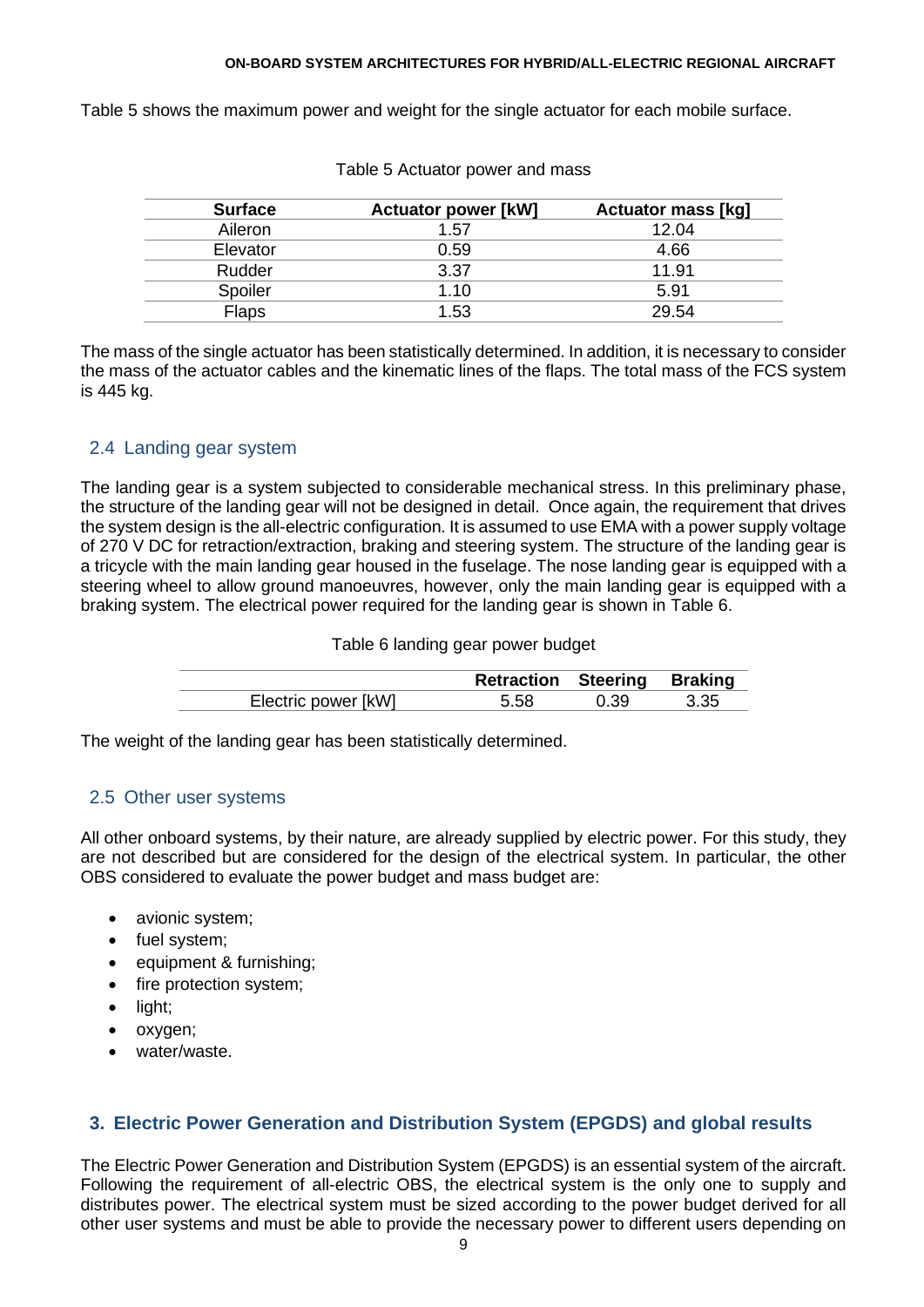<span id="page-6-0"></span>[Table 5](#page-6-0) shows the maximum power and weight for the single actuator for each mobile surface.

| <b>Surface</b> | <b>Actuator power [kW]</b> | <b>Actuator mass [kg]</b> |
|----------------|----------------------------|---------------------------|
| Aileron        | 1.57                       | 12.04                     |
| Elevator       | 0.59                       | 4.66                      |
| Rudder         | 3.37                       | 11.91                     |
| Spoiler        | 1.10                       | 5.91                      |
| Flaps          | 1.53                       | 29.54                     |

Table 5 Actuator power and mass

The mass of the single actuator has been statistically determined. In addition, it is necessary to consider the mass of the actuator cables and the kinematic lines of the flaps. The total mass of the FCS system is 445 kg.

## 2.4 Landing gear system

The landing gear is a system subjected to considerable mechanical stress. In this preliminary phase, the structure of the landing gear will not be designed in detail. Once again, the requirement that drives the system design is the all-electric configuration. It is assumed to use EMA with a power supply voltage of 270 V DC for retraction/extraction, braking and steering system. The structure of the landing gear is a tricycle with the main landing gear housed in the fuselage. The nose landing gear is equipped with a steering wheel to allow ground manoeuvres, however, only the main landing gear is equipped with a braking system. The electrical power required for the landing gear is shown in [Table 6.](#page-6-1)

Table 6 landing gear power budget

|                     | <b>Retraction Steering Braking</b> |      |        |
|---------------------|------------------------------------|------|--------|
| Electric power [kW] | 5.58                               | 0.39 | - 3.35 |

<span id="page-6-1"></span>The weight of the landing gear has been statistically determined.

## 2.5 Other user systems

All other onboard systems, by their nature, are already supplied by electric power. For this study, they are not described but are considered for the design of the electrical system. In particular, the other OBS considered to evaluate the power budget and mass budget are:

- avionic system;
- fuel system;
- equipment & furnishing;
- fire protection system;
- light;
- oxygen;
- water/waste.

## **3. Electric Power Generation and Distribution System (EPGDS) and global results**

The Electric Power Generation and Distribution System (EPGDS) is an essential system of the aircraft. Following the requirement of all-electric OBS, the electrical system is the only one to supply and distributes power. The electrical system must be sized according to the power budget derived for all other user systems and must be able to provide the necessary power to different users depending on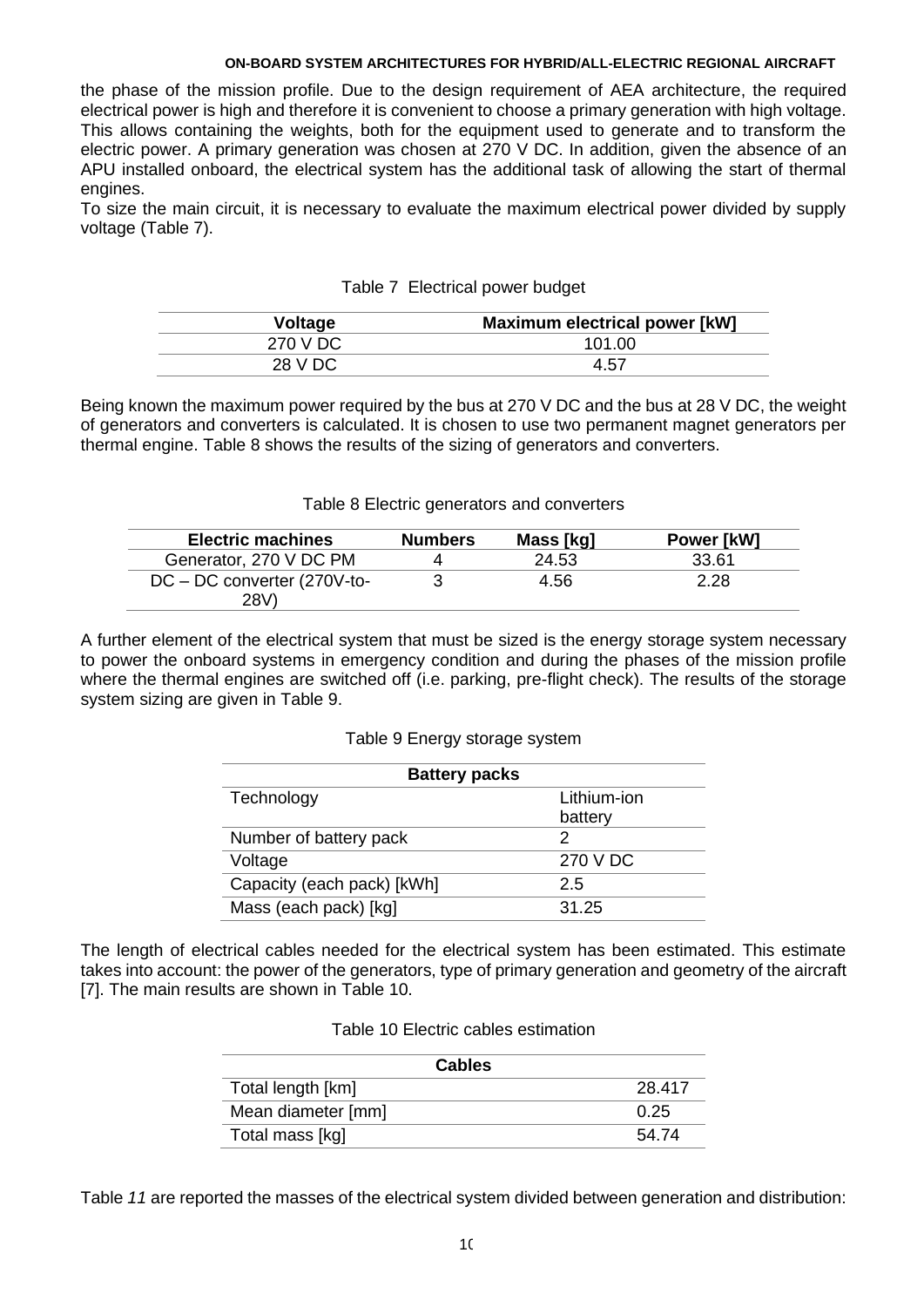the phase of the mission profile. Due to the design requirement of AEA architecture, the required electrical power is high and therefore it is convenient to choose a primary generation with high voltage. This allows containing the weights, both for the equipment used to generate and to transform the electric power. A primary generation was chosen at 270 V DC. In addition, given the absence of an APU installed onboard, the electrical system has the additional task of allowing the start of thermal engines.

<span id="page-7-0"></span>To size the main circuit, it is necessary to evaluate the maximum electrical power divided by supply voltage [\(Table 7\)](#page-7-0).

| $. 0.0018 + 0.00011 + 0.0011 + 0.00011 + 0.00011 + 0.00011 + 0.00011 + 0.00011 + 0.00011 + 0.00011 + 0.00011 + 0.00011 + 0.00011 + 0.00011 + 0.00011 + 0.00011 + 0.00011 + 0.00011 + 0.00011 + 0.00011 + 0.00011 + 0.00011 + 0.00011 + 0.00011 + 0.00$ |                                      |  |
|--------------------------------------------------------------------------------------------------------------------------------------------------------------------------------------------------------------------------------------------------------|--------------------------------------|--|
| Voltage                                                                                                                                                                                                                                                | <b>Maximum electrical power [kW]</b> |  |
| 270 V DC                                                                                                                                                                                                                                               | 101.00                               |  |
| 28 V DC                                                                                                                                                                                                                                                | 4.57                                 |  |

### Table 7 Electrical power budget

Being known the maximum power required by the bus at 270 V DC and the bus at 28 V DC, the weight of generators and converters is calculated. It is chosen to use two permanent magnet generators per thermal engine. [Table 8](#page-7-1) shows the results of the sizing of generators and converters.

#### Table 8 Electric generators and converters

<span id="page-7-1"></span>

| <b>Electric machines</b>      | <b>Numbers</b> | Mass [kg] | Power [kW] |
|-------------------------------|----------------|-----------|------------|
| Generator, 270 V DC PM        |                | 24.53     | 33.61      |
| $DC - DC$ converter (270V-to- |                | 4.56      | 2.28       |
| 28V)                          |                |           |            |

<span id="page-7-2"></span>A further element of the electrical system that must be sized is the energy storage system necessary to power the onboard systems in emergency condition and during the phases of the mission profile where the thermal engines are switched off (i.e. parking, pre-flight check). The results of the storage system sizing are given in [Table 9.](#page-7-2)

#### Table 9 Energy storage system

| <b>Battery packs</b>       |             |  |
|----------------------------|-------------|--|
| Technology                 | Lithium-ion |  |
|                            | battery     |  |
| Number of battery pack     |             |  |
| Voltage                    | 270 V DC    |  |
| Capacity (each pack) [kWh] | 2.5         |  |
| Mass (each pack) [kg]      | 31.25       |  |

<span id="page-7-3"></span>The length of electrical cables needed for the electrical system has been estimated. This estimate takes into account: the power of the generators, type of primary generation and geometry of the aircraft [7]. The main results are shown in [Table 10.](#page-7-3)

| <b>Cables</b>      |        |
|--------------------|--------|
| Total length [km]  | 28.417 |
| Mean diameter [mm] | 0.25   |
| Total mass [kg]    | 54.74  |

<span id="page-7-4"></span>[Table](#page-7-4) *11* are reported the masses of the electrical system divided between generation and distribution: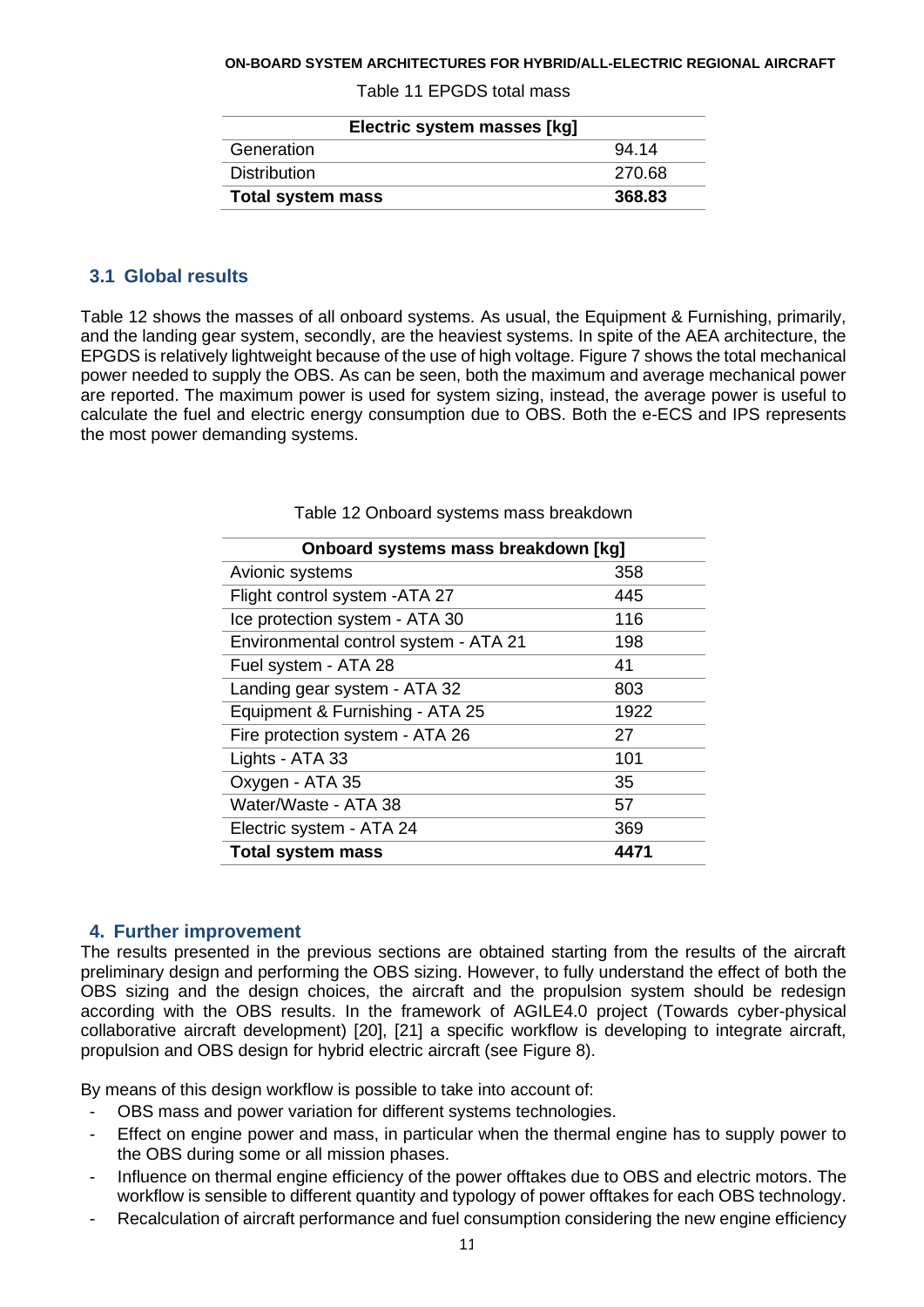| Electric system masses [kg] |        |
|-----------------------------|--------|
| Generation                  | 94.14  |
| <b>Distribution</b>         | 270.68 |
| <b>Total system mass</b>    | 368.83 |

#### Table 11 EPGDS total mass

### **3.1 Global results**

[Table 12](#page-8-0) shows the masses of all onboard systems. As usual, the Equipment & Furnishing, primarily, and the landing gear system, secondly, are the heaviest systems. In spite of the AEA architecture, the EPGDS is relatively lightweight because of the use of high voltage. [Figure 7](#page-9-0) shows the total mechanical power needed to supply the OBS. As can be seen, both the maximum and average mechanical power are reported. The maximum power is used for system sizing, instead, the average power is useful to calculate the fuel and electric energy consumption due to OBS. Both the e-ECS and IPS represents the most power demanding systems.

<span id="page-8-0"></span>

| Onboard systems mass breakdown [kg] |  |
|-------------------------------------|--|
| 358                                 |  |
| 445                                 |  |
| 116                                 |  |
| 198                                 |  |
| 41                                  |  |
| 803                                 |  |
| 1922                                |  |
| 27                                  |  |
| 101                                 |  |
| 35                                  |  |
| 57                                  |  |
| 369                                 |  |
| 4471                                |  |
|                                     |  |

Table 12 Onboard systems mass breakdown

### **4. Further improvement**

The results presented in the previous sections are obtained starting from the results of the aircraft preliminary design and performing the OBS sizing. However, to fully understand the effect of both the OBS sizing and the design choices, the aircraft and the propulsion system should be redesign according with the OBS results. In the framework of AGILE4.0 project (Towards cyber-physical collaborative aircraft development) [20], [21] a specific workflow is developing to integrate aircraft, propulsion and OBS design for hybrid electric aircraft (see [Figure 8\)](#page-9-1).

By means of this design workflow is possible to take into account of:

- OBS mass and power variation for different systems technologies.
- Effect on engine power and mass, in particular when the thermal engine has to supply power to the OBS during some or all mission phases.
- Influence on thermal engine efficiency of the power offtakes due to OBS and electric motors. The workflow is sensible to different quantity and typology of power offtakes for each OBS technology.
- Recalculation of aircraft performance and fuel consumption considering the new engine efficiency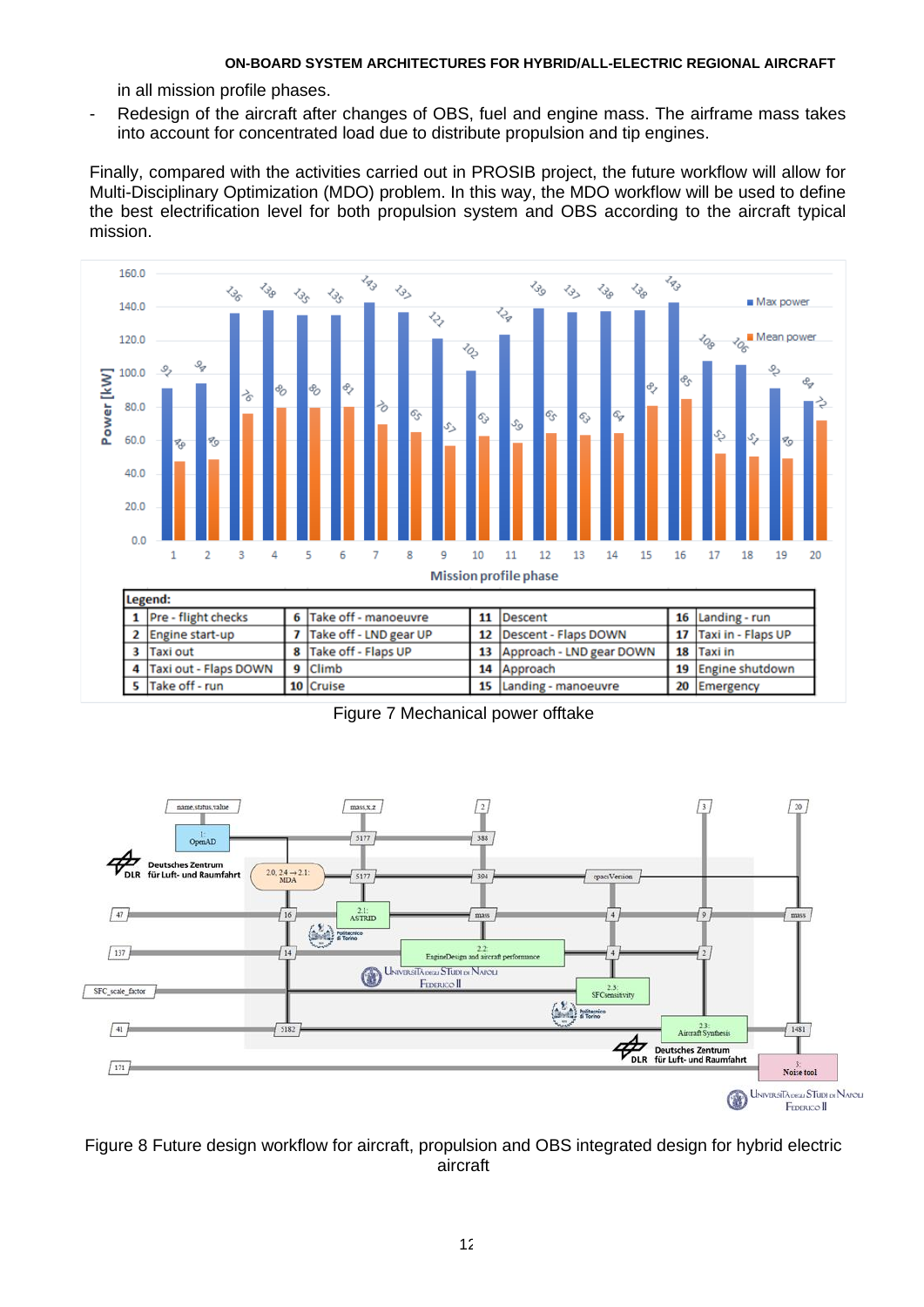in all mission profile phases.

- Redesign of the aircraft after changes of OBS, fuel and engine mass. The airframe mass takes into account for concentrated load due to distribute propulsion and tip engines.

Finally, compared with the activities carried out in PROSIB project, the future workflow will allow for Multi-Disciplinary Optimization (MDO) problem. In this way, the MDO workflow will be used to define the best electrification level for both propulsion system and OBS according to the aircraft typical mission.



Figure 7 Mechanical power offtake

<span id="page-9-0"></span>

<span id="page-9-1"></span>Figure 8 Future design workflow for aircraft, propulsion and OBS integrated design for hybrid electric aircraft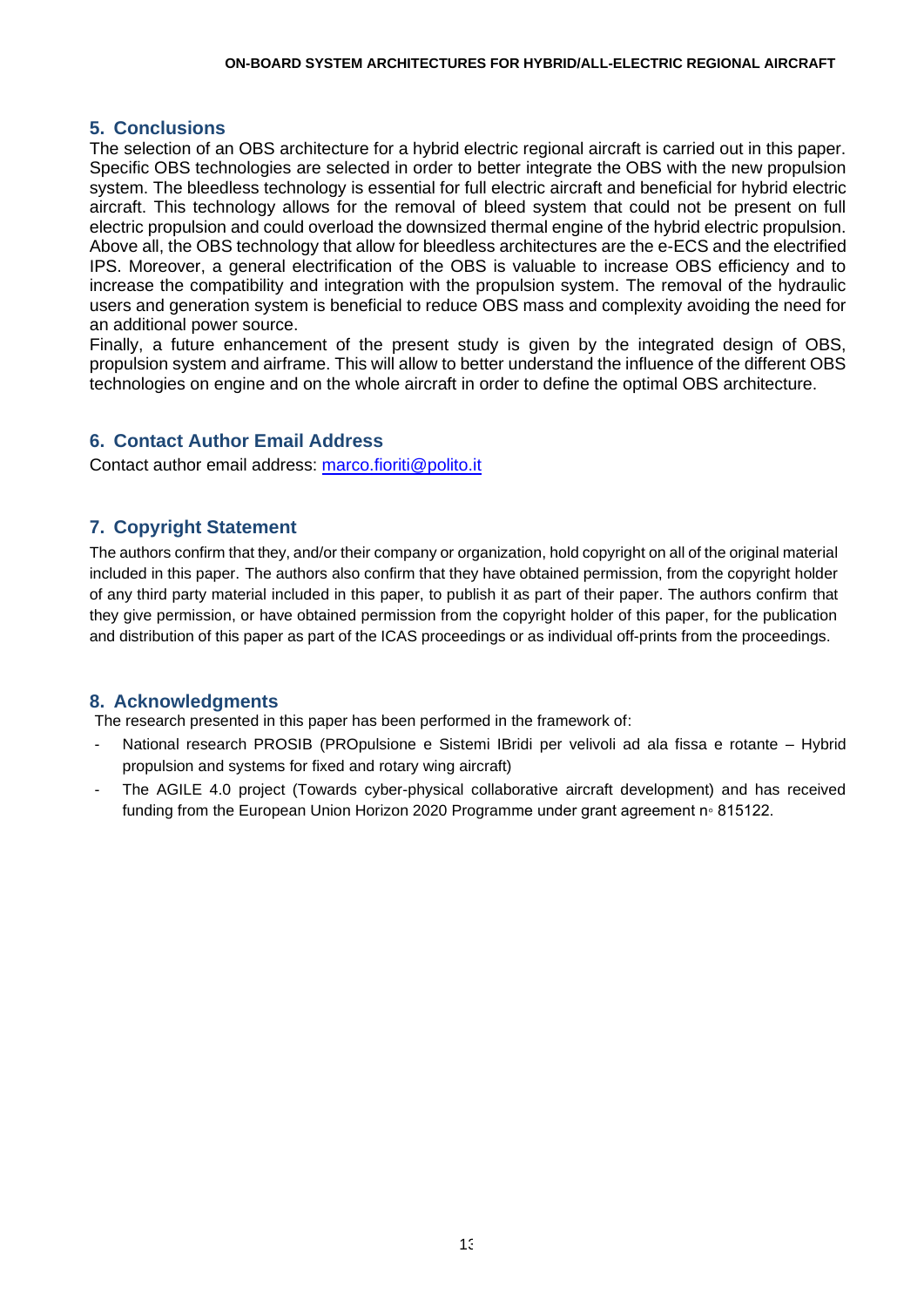# **5. Conclusions**

The selection of an OBS architecture for a hybrid electric regional aircraft is carried out in this paper. Specific OBS technologies are selected in order to better integrate the OBS with the new propulsion system. The bleedless technology is essential for full electric aircraft and beneficial for hybrid electric aircraft. This technology allows for the removal of bleed system that could not be present on full electric propulsion and could overload the downsized thermal engine of the hybrid electric propulsion. Above all, the OBS technology that allow for bleedless architectures are the e-ECS and the electrified IPS. Moreover, a general electrification of the OBS is valuable to increase OBS efficiency and to increase the compatibility and integration with the propulsion system. The removal of the hydraulic users and generation system is beneficial to reduce OBS mass and complexity avoiding the need for an additional power source.

Finally, a future enhancement of the present study is given by the integrated design of OBS, propulsion system and airframe. This will allow to better understand the influence of the different OBS technologies on engine and on the whole aircraft in order to define the optimal OBS architecture.

# **6. Contact Author Email Address**

Contact author email address: [marco.fioriti@polito.it](mailto:marco.fioriti@polito.it)

# **7. Copyright Statement**

The authors confirm that they, and/or their company or organization, hold copyright on all of the original material included in this paper. The authors also confirm that they have obtained permission, from the copyright holder of any third party material included in this paper, to publish it as part of their paper. The authors confirm that they give permission, or have obtained permission from the copyright holder of this paper, for the publication and distribution of this paper as part of the ICAS proceedings or as individual off-prints from the proceedings.

## **8. Acknowledgments**

The research presented in this paper has been performed in the framework of:

- National research PROSIB (PROpulsione e Sistemi IBridi per velivoli ad ala fissa e rotante Hybrid propulsion and systems for fixed and rotary wing aircraft)
- The AGILE 4.0 project (Towards cyber-physical collaborative aircraft development) and has received funding from the European Union Horizon 2020 Programme under grant agreement n◦ 815122.